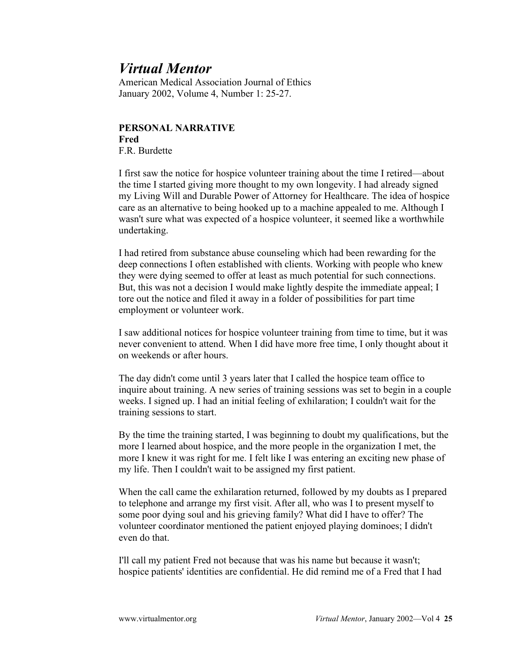## *Virtual Mentor*

American Medical Association Journal of Ethics January 2002, Volume 4, Number 1: 25-27.

## **PERSONAL NARRATIVE Fred** F.R. Burdette

I first saw the notice for hospice volunteer training about the time I retired—about the time I started giving more thought to my own longevity. I had already signed my Living Will and Durable Power of Attorney for Healthcare. The idea of hospice care as an alternative to being hooked up to a machine appealed to me. Although I wasn't sure what was expected of a hospice volunteer, it seemed like a worthwhile undertaking.

I had retired from substance abuse counseling which had been rewarding for the deep connections I often established with clients. Working with people who knew they were dying seemed to offer at least as much potential for such connections. But, this was not a decision I would make lightly despite the immediate appeal; I tore out the notice and filed it away in a folder of possibilities for part time employment or volunteer work.

I saw additional notices for hospice volunteer training from time to time, but it was never convenient to attend. When I did have more free time, I only thought about it on weekends or after hours.

The day didn't come until 3 years later that I called the hospice team office to inquire about training. A new series of training sessions was set to begin in a couple weeks. I signed up. I had an initial feeling of exhilaration; I couldn't wait for the training sessions to start.

By the time the training started, I was beginning to doubt my qualifications, but the more I learned about hospice, and the more people in the organization I met, the more I knew it was right for me. I felt like I was entering an exciting new phase of my life. Then I couldn't wait to be assigned my first patient.

When the call came the exhilaration returned, followed by my doubts as I prepared to telephone and arrange my first visit. After all, who was I to present myself to some poor dying soul and his grieving family? What did I have to offer? The volunteer coordinator mentioned the patient enjoyed playing dominoes; I didn't even do that.

I'll call my patient Fred not because that was his name but because it wasn't; hospice patients' identities are confidential. He did remind me of a Fred that I had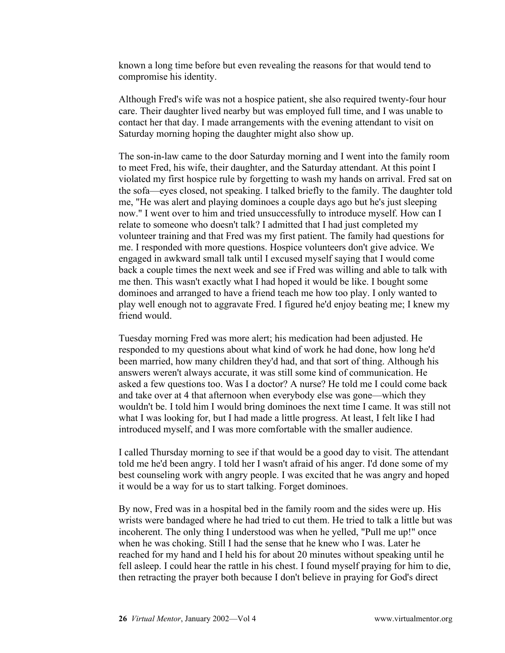known a long time before but even revealing the reasons for that would tend to compromise his identity.

Although Fred's wife was not a hospice patient, she also required twenty-four hour care. Their daughter lived nearby but was employed full time, and I was unable to contact her that day. I made arrangements with the evening attendant to visit on Saturday morning hoping the daughter might also show up.

The son-in-law came to the door Saturday morning and I went into the family room to meet Fred, his wife, their daughter, and the Saturday attendant. At this point I violated my first hospice rule by forgetting to wash my hands on arrival. Fred sat on the sofa—eyes closed, not speaking. I talked briefly to the family. The daughter told me, "He was alert and playing dominoes a couple days ago but he's just sleeping now." I went over to him and tried unsuccessfully to introduce myself. How can I relate to someone who doesn't talk? I admitted that I had just completed my volunteer training and that Fred was my first patient. The family had questions for me. I responded with more questions. Hospice volunteers don't give advice. We engaged in awkward small talk until I excused myself saying that I would come back a couple times the next week and see if Fred was willing and able to talk with me then. This wasn't exactly what I had hoped it would be like. I bought some dominoes and arranged to have a friend teach me how too play. I only wanted to play well enough not to aggravate Fred. I figured he'd enjoy beating me; I knew my friend would.

Tuesday morning Fred was more alert; his medication had been adjusted. He responded to my questions about what kind of work he had done, how long he'd been married, how many children they'd had, and that sort of thing. Although his answers weren't always accurate, it was still some kind of communication. He asked a few questions too. Was I a doctor? A nurse? He told me I could come back and take over at 4 that afternoon when everybody else was gone—which they wouldn't be. I told him I would bring dominoes the next time I came. It was still not what I was looking for, but I had made a little progress. At least, I felt like I had introduced myself, and I was more comfortable with the smaller audience.

I called Thursday morning to see if that would be a good day to visit. The attendant told me he'd been angry. I told her I wasn't afraid of his anger. I'd done some of my best counseling work with angry people. I was excited that he was angry and hoped it would be a way for us to start talking. Forget dominoes.

By now, Fred was in a hospital bed in the family room and the sides were up. His wrists were bandaged where he had tried to cut them. He tried to talk a little but was incoherent. The only thing I understood was when he yelled, "Pull me up!" once when he was choking. Still I had the sense that he knew who I was. Later he reached for my hand and I held his for about 20 minutes without speaking until he fell asleep. I could hear the rattle in his chest. I found myself praying for him to die, then retracting the prayer both because I don't believe in praying for God's direct